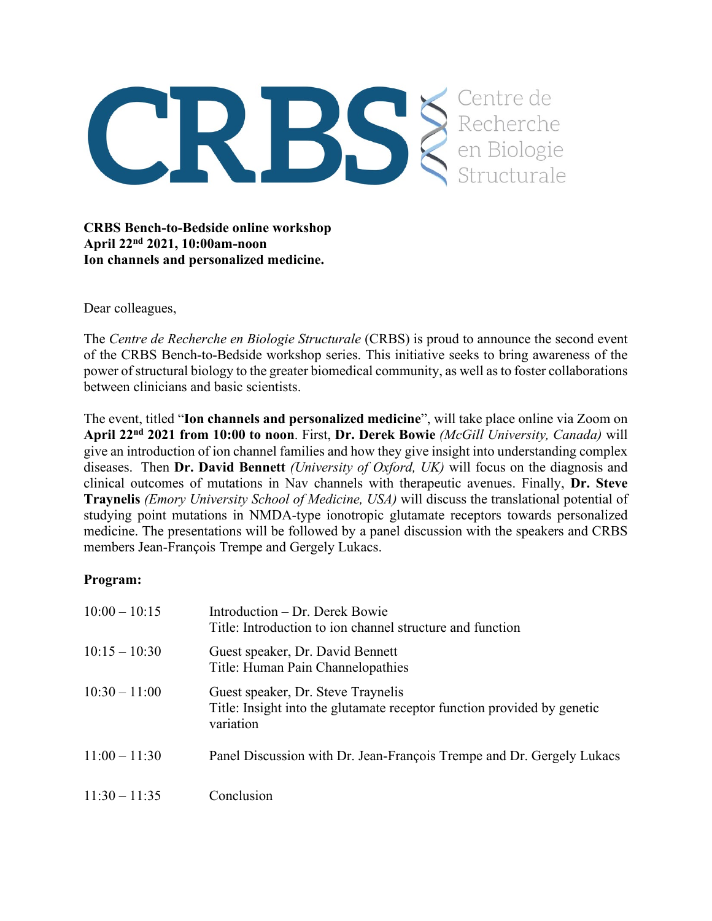

**CRBS Bench-to-Bedside online workshop April 22nd 2021, 10:00am-noon Ion channels and personalized medicine.**

Dear colleagues,

The *Centre de Recherche en Biologie Structurale* (CRBS) is proud to announce the second event of the CRBS Bench-to-Bedside workshop series. This initiative seeks to bring awareness of the power of structural biology to the greater biomedical community, as well as to foster collaborations between clinicians and basic scientists.

The event, titled "**Ion channels and personalized medicine**", will take place online via Zoom on **April 22nd 2021 from 10:00 to noon**. First, **Dr. Derek Bowie** *(McGill University, Canada)* will give an introduction of ion channel families and how they give insight into understanding complex diseases. Then **Dr. David Bennett** *(University of Oxford, UK)* will focus on the diagnosis and clinical outcomes of mutations in Nav channels with therapeutic avenues. Finally, **Dr. Steve Traynelis** *(Emory University School of Medicine, USA)* will discuss the translational potential of studying point mutations in NMDA-type ionotropic glutamate receptors towards personalized medicine. The presentations will be followed by a panel discussion with the speakers and CRBS members Jean-François Trempe and Gergely Lukacs.

## **Program:**

| $10:00 - 10:15$ | Introduction – Dr. Derek Bowie<br>Title: Introduction to ion channel structure and function                                |
|-----------------|----------------------------------------------------------------------------------------------------------------------------|
| $10:15 - 10:30$ | Guest speaker, Dr. David Bennett<br>Title: Human Pain Channelopathies                                                      |
| $10:30 - 11:00$ | Guest speaker, Dr. Steve Traynelis<br>Title: Insight into the glutamate receptor function provided by genetic<br>variation |
| $11:00 - 11:30$ | Panel Discussion with Dr. Jean-François Trempe and Dr. Gergely Lukacs                                                      |
| $11:30 - 11:35$ | Conclusion                                                                                                                 |